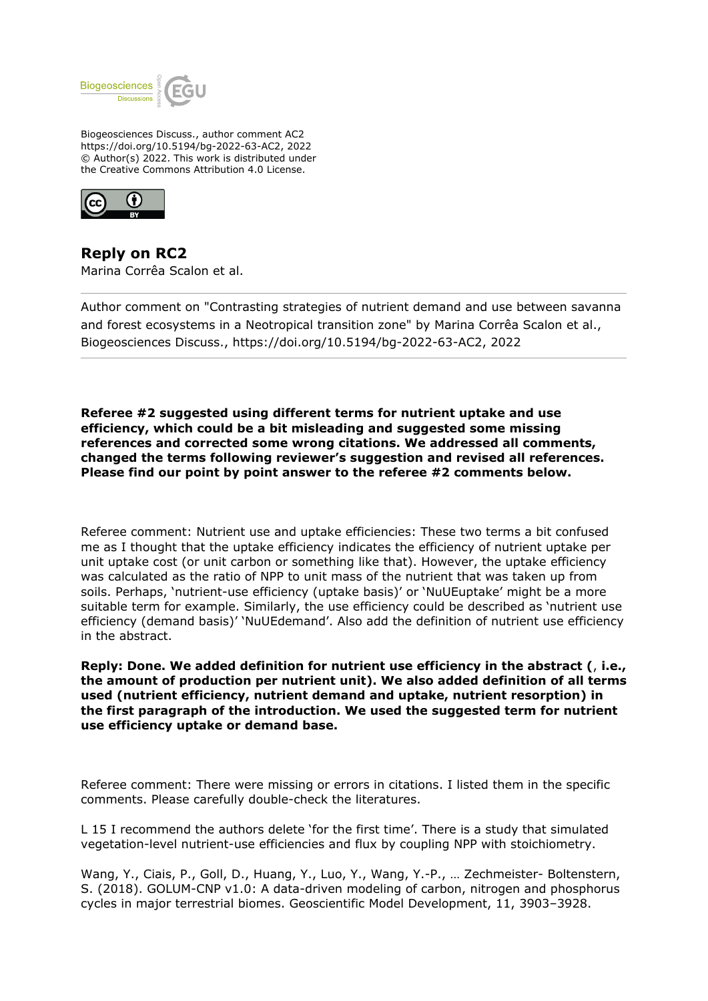

Biogeosciences Discuss., author comment AC2 https://doi.org/10.5194/bg-2022-63-AC2, 2022 © Author(s) 2022. This work is distributed under the Creative Commons Attribution 4.0 License.



**Reply on RC2** Marina Corrêa Scalon et al.

Author comment on "Contrasting strategies of nutrient demand and use between savanna and forest ecosystems in a Neotropical transition zone" by Marina Corrêa Scalon et al., Biogeosciences Discuss., https://doi.org/10.5194/bg-2022-63-AC2, 2022

**Referee #2 suggested using different terms for nutrient uptake and use efficiency, which could be a bit misleading and suggested some missing references and corrected some wrong citations. We addressed all comments, changed the terms following reviewer's suggestion and revised all references. Please find our point by point answer to the referee #2 comments below.** 

Referee comment: Nutrient use and uptake efficiencies: These two terms a bit confused me as I thought that the uptake efficiency indicates the efficiency of nutrient uptake per unit uptake cost (or unit carbon or something like that). However, the uptake efficiency was calculated as the ratio of NPP to unit mass of the nutrient that was taken up from soils. Perhaps, 'nutrient-use efficiency (uptake basis)' or 'NuUEuptake' might be a more suitable term for example. Similarly, the use efficiency could be described as 'nutrient use efficiency (demand basis)' 'NuUEdemand'. Also add the definition of nutrient use efficiency in the abstract.

**Reply: Done. We added definition for nutrient use efficiency in the abstract (**, **i.e., the amount of production per nutrient unit). We also added definition of all terms used (nutrient efficiency, nutrient demand and uptake, nutrient resorption) in the first paragraph of the introduction. We used the suggested term for nutrient use efficiency uptake or demand base.**

Referee comment: There were missing or errors in citations. I listed them in the specific comments. Please carefully double-check the literatures.

L 15 I recommend the authors delete 'for the first time'. There is a study that simulated vegetation-level nutrient-use efficiencies and flux by coupling NPP with stoichiometry.

Wang, Y., Ciais, P., Goll, D., Huang, Y., Luo, Y., Wang, Y.-P., … Zechmeister- Boltenstern, S. (2018). GOLUM-CNP v1.0: A data-driven modeling of carbon, nitrogen and phosphorus cycles in major terrestrial biomes. Geoscientific Model Development, 11, 3903–3928.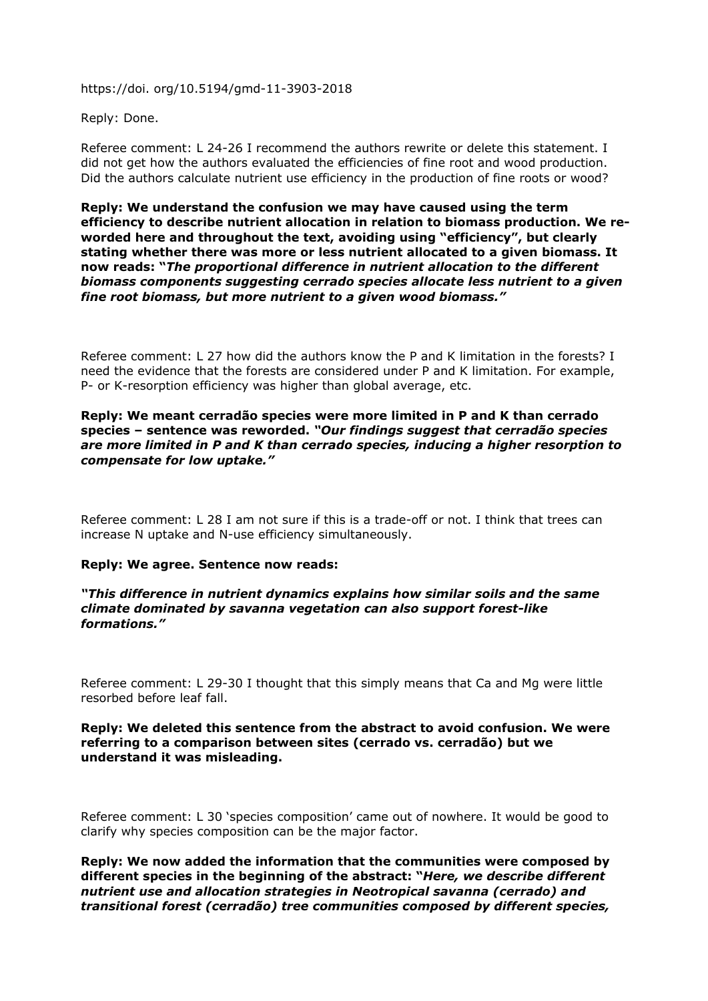https://doi. org/10.5194/gmd-11-3903-2018

Reply: Done.

Referee comment: L 24-26 I recommend the authors rewrite or delete this statement. I did not get how the authors evaluated the efficiencies of fine root and wood production. Did the authors calculate nutrient use efficiency in the production of fine roots or wood?

**Reply: We understand the confusion we may have caused using the term efficiency to describe nutrient allocation in relation to biomass production. We reworded here and throughout the text, avoiding using "efficiency", but clearly stating whether there was more or less nutrient allocated to a given biomass. It now reads: "***The proportional difference in nutrient allocation to the different biomass components suggesting cerrado species allocate less nutrient to a given fine root biomass, but more nutrient to a given wood biomass."*

Referee comment: L 27 how did the authors know the P and K limitation in the forests? I need the evidence that the forests are considered under P and K limitation. For example, P- or K-resorption efficiency was higher than global average, etc.

### **Reply: We meant cerradão species were more limited in P and K than cerrado species – sentence was reworded.** *"Our findings suggest that cerradão species are more limited in P and K than cerrado species, inducing a higher resorption to compensate for low uptake."*

Referee comment: L 28 I am not sure if this is a trade-off or not. I think that trees can increase N uptake and N-use efficiency simultaneously.

### **Reply: We agree. Sentence now reads:**

*"This difference in nutrient dynamics explains how similar soils and the same climate dominated by savanna vegetation can also support forest-like formations."*

Referee comment: L 29-30 I thought that this simply means that Ca and Mg were little resorbed before leaf fall.

# **Reply: We deleted this sentence from the abstract to avoid confusion. We were referring to a comparison between sites (cerrado vs. cerradão) but we understand it was misleading.**

Referee comment: L 30 'species composition' came out of nowhere. It would be good to clarify why species composition can be the major factor.

**Reply: We now added the information that the communities were composed by different species in the beginning of the abstract: "***Here, we describe different nutrient use and allocation strategies in Neotropical savanna (cerrado) and transitional forest (cerradão) tree communities composed by different species,*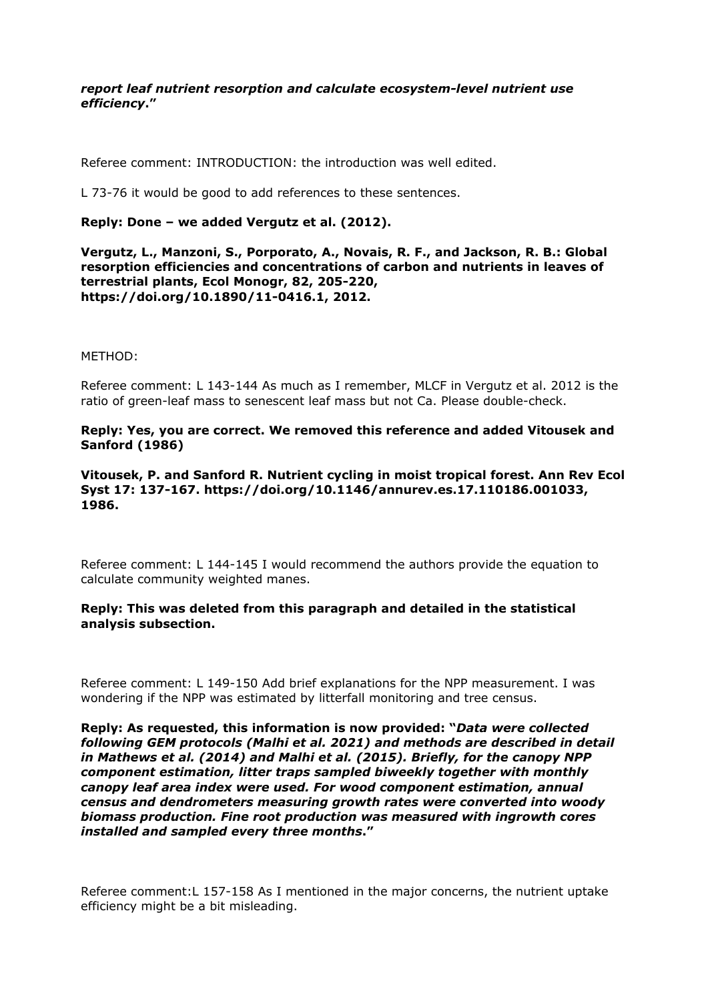# *report leaf nutrient resorption and calculate ecosystem-level nutrient use efficiency***."**

Referee comment: INTRODUCTION: the introduction was well edited.

L 73-76 it would be good to add references to these sentences.

### **Reply: Done – we added Vergutz et al. (2012).**

**Vergutz, L., Manzoni, S., Porporato, A., Novais, R. F., and Jackson, R. B.: Global resorption efficiencies and concentrations of carbon and nutrients in leaves of terrestrial plants, Ecol Monogr, 82, 205-220, https://doi.org/10.1890/11-0416.1, 2012.**

METHOD:

Referee comment: L 143-144 As much as I remember, MLCF in Vergutz et al. 2012 is the ratio of green-leaf mass to senescent leaf mass but not Ca. Please double-check.

# **Reply: Yes, you are correct. We removed this reference and added Vitousek and Sanford (1986)**

# **Vitousek, P. and Sanford R. Nutrient cycling in moist tropical forest. Ann Rev Ecol Syst 17: 137-167. https://doi.org/10.1146/annurev.es.17.110186.001033, 1986.**

Referee comment: L 144-145 I would recommend the authors provide the equation to calculate community weighted manes.

### **Reply: This was deleted from this paragraph and detailed in the statistical analysis subsection.**

Referee comment: L 149-150 Add brief explanations for the NPP measurement. I was wondering if the NPP was estimated by litterfall monitoring and tree census.

**Reply: As requested, this information is now provided: "***Data were collected following GEM protocols (Malhi et al. 2021) and methods are described in detail in Mathews et al. (2014) and Malhi et al. (2015). Briefly, for the canopy NPP component estimation, litter traps sampled biweekly together with monthly canopy leaf area index were used. For wood component estimation, annual census and dendrometers measuring growth rates were converted into woody biomass production. Fine root production was measured with ingrowth cores installed and sampled every three months***."**

Referee comment:L 157-158 As I mentioned in the major concerns, the nutrient uptake efficiency might be a bit misleading.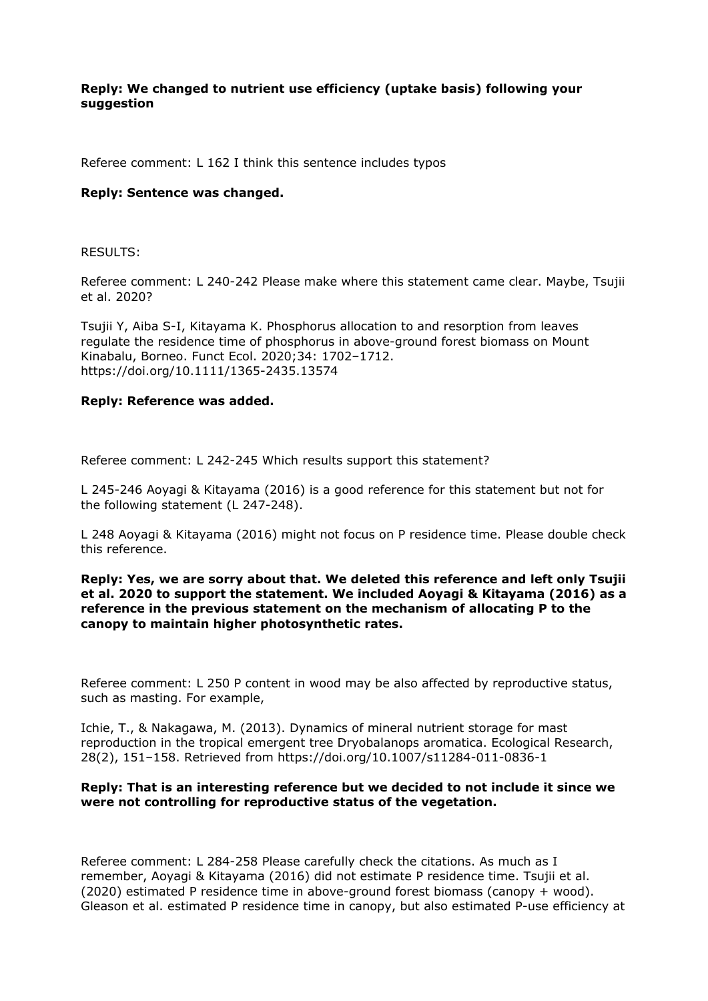# **Reply: We changed to nutrient use efficiency (uptake basis) following your suggestion**

Referee comment: L 162 I think this sentence includes typos

### **Reply: Sentence was changed.**

### RESULTS:

Referee comment: L 240-242 Please make where this statement came clear. Maybe, Tsujii et al. 2020?

Tsujii Y, Aiba S-I, Kitayama K. Phosphorus allocation to and resorption from leaves regulate the residence time of phosphorus in above-ground forest biomass on Mount Kinabalu, Borneo. Funct Ecol. 2020;34: 1702–1712. https://doi.org/10.1111/1365-2435.13574

#### **Reply: Reference was added.**

Referee comment: L 242-245 Which results support this statement?

L 245-246 Aoyagi & Kitayama (2016) is a good reference for this statement but not for the following statement (L 247-248).

L 248 Aoyagi & Kitayama (2016) might not focus on P residence time. Please double check this reference.

### **Reply: Yes, we are sorry about that. We deleted this reference and left only Tsujii et al. 2020 to support the statement. We included Aoyagi & Kitayama (2016) as a reference in the previous statement on the mechanism of allocating P to the canopy to maintain higher photosynthetic rates.**

Referee comment: L 250 P content in wood may be also affected by reproductive status, such as masting. For example,

Ichie, T., & Nakagawa, M. (2013). Dynamics of mineral nutrient storage for mast reproduction in the tropical emergent tree Dryobalanops aromatica. Ecological Research, 28(2), 151–158. Retrieved from https://doi.org/10.1007/s11284-011-0836-1

### **Reply: That is an interesting reference but we decided to not include it since we were not controlling for reproductive status of the vegetation.**

Referee comment: L 284-258 Please carefully check the citations. As much as I remember, Aoyagi & Kitayama (2016) did not estimate P residence time. Tsujii et al. (2020) estimated P residence time in above-ground forest biomass (canopy + wood). Gleason et al. estimated P residence time in canopy, but also estimated P-use efficiency at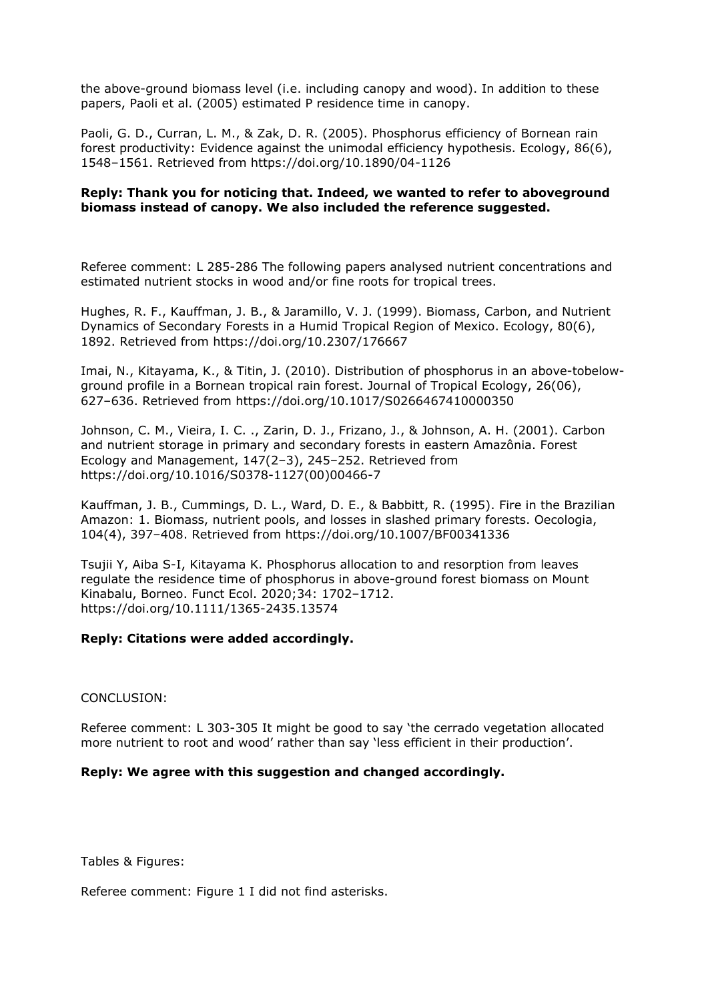the above-ground biomass level (i.e. including canopy and wood). In addition to these papers, Paoli et al. (2005) estimated P residence time in canopy.

Paoli, G. D., Curran, L. M., & Zak, D. R. (2005). Phosphorus efficiency of Bornean rain forest productivity: Evidence against the unimodal efficiency hypothesis. Ecology, 86(6), 1548–1561. Retrieved from https://doi.org/10.1890/04-1126

# **Reply: Thank you for noticing that. Indeed, we wanted to refer to aboveground biomass instead of canopy. We also included the reference suggested.**

Referee comment: L 285-286 The following papers analysed nutrient concentrations and estimated nutrient stocks in wood and/or fine roots for tropical trees.

Hughes, R. F., Kauffman, J. B., & Jaramillo, V. J. (1999). Biomass, Carbon, and Nutrient Dynamics of Secondary Forests in a Humid Tropical Region of Mexico. Ecology, 80(6), 1892. Retrieved from https://doi.org/10.2307/176667

Imai, N., Kitayama, K., & Titin, J. (2010). Distribution of phosphorus in an above-tobelowground profile in a Bornean tropical rain forest. Journal of Tropical Ecology, 26(06), 627–636. Retrieved from https://doi.org/10.1017/S0266467410000350

Johnson, C. M., Vieira, I. C. ., Zarin, D. J., Frizano, J., & Johnson, A. H. (2001). Carbon and nutrient storage in primary and secondary forests in eastern Amazônia. Forest Ecology and Management, 147(2–3), 245–252. Retrieved from https://doi.org/10.1016/S0378-1127(00)00466-7

Kauffman, J. B., Cummings, D. L., Ward, D. E., & Babbitt, R. (1995). Fire in the Brazilian Amazon: 1. Biomass, nutrient pools, and losses in slashed primary forests. Oecologia, 104(4), 397–408. Retrieved from https://doi.org/10.1007/BF00341336

Tsujii Y, Aiba S-I, Kitayama K. Phosphorus allocation to and resorption from leaves regulate the residence time of phosphorus in above-ground forest biomass on Mount Kinabalu, Borneo. Funct Ecol. 2020;34: 1702–1712. https://doi.org/10.1111/1365-2435.13574

### **Reply: Citations were added accordingly.**

### CONCLUSION:

Referee comment: L 303-305 It might be good to say 'the cerrado vegetation allocated more nutrient to root and wood' rather than say 'less efficient in their production'.

### **Reply: We agree with this suggestion and changed accordingly.**

Tables & Figures:

Referee comment: Figure 1 I did not find asterisks.